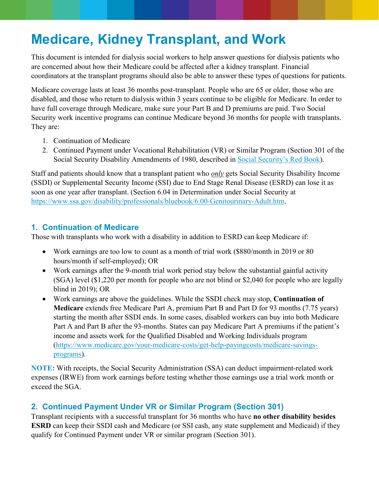# **Medicare, Kidney Transplant, and Work**

This document is intended for dialysis social workers to help answer questions for dialysis patients who are concerned about how their Medicare could be affected after a kidney transplant. Financial coordinators at the transplant programs should also be able to answer these types of questions for patients.

Medicare coverage lasts at least 36 months post-transplant. People who are 65 or older, those who are disabled, and those who return to dialysis within 3 years continue to be eligible for Medicare. In order to have full coverage through Medicare, make sure your Part B and D premiums are paid. Two Social Security work incentive programs can continue Medicare beyond 36 months for people with transplants. They are:

- 1. Continuation of Medicare
- 2. Continued Payment under Vocational Rehabilitation (VR) or Similar Program (Section 301 of the Social Security Disability Amendments of 1980, described in [Social Security's Red Book\)](https://www.ssa.gov/redbook/).

Staff and patients should know that a transplant patient who *only* gets Social Security Disability Income (SSDI) or Supplemental Security Income (SSI) due to End Stage Renal Disease (ESRD) can lose it as soon as one year after transplant. (Section 6.04 in Determination under Social Security at [https://www.ssa.gov/disability/professionals/bluebook/6.00-Genitourinary-Adult.htm.](https://www.ssa.gov/disability/professionals/bluebook/6.00-Genitourinary-Adult.htm)

## **1. Continuation of Medicare**

Those with transplants who work with a disability in addition to ESRD can keep Medicare if:

- Work earnings are too low to count as a month of trial work (\$880/month in 2019 or 80) hours/month if self-employed); OR
- Work earnings after the 9-month trial work period stay below the substantial gainful activity (SGA) level (\$1,220 per month for people who are not blind or \$2,040 for people who are legally blind in 2019); OR
- Work earnings are above the guidelines. While the SSDI check may stop, **Continuation of Medicare** extends free Medicare Part A, premium Part B and Part D for 93 months (7.75 years) starting the month after SSDI ends. In some cases, disabled workers can buy into both Medicare Part A and Part B after the 93-months. States can pay Medicare Part A premiums if the patient's income and assets work for the Qualified Disabled and Working Individuals program [\(https://www.medicare.gov/your-medicare-costs/get-help-payingcosts/medicare-savings](https://www.medicare.gov/your-medicare-costs/get-help-payingcosts/medicare-savings-programs)[programs\)](https://www.medicare.gov/your-medicare-costs/get-help-payingcosts/medicare-savings-programs).

**NOTE:** With receipts, the Social Security Administration (SSA) can deduct impairment-related work expenses (IRWE) from work earnings before testing whether those earnings use a trial work month or exceed the SGA.

## **2. Continued Payment Under VR or Similar Program (Section 301)**

Transplant recipients with a successful transplant for 36 months who have **no other disability besides ESRD** can keep their SSDI cash and Medicare (or SSI cash, any state supplement and Medicaid) if they qualify for Continued Payment under VR or similar program (Section 301).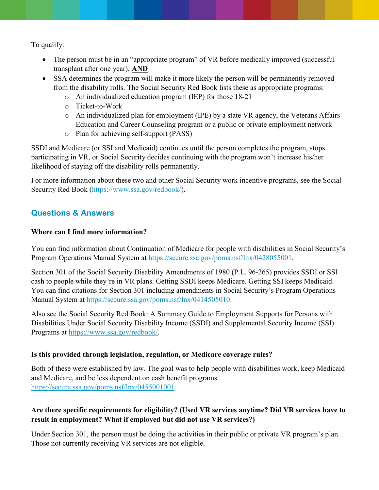To qualify:

- The person must be in an "appropriate program" of VR before medically improved (successful) transplant after one year); **AND**
- SSA determines the program will make it more likely the person will be permanently removed from the disability rolls. The Social Security Red Book lists these as appropriate programs:
	- o An individualized education program (IEP) for those 18-21
	- o Ticket-to-Work
	- $\circ$  An individualized plan for employment (IPE) by a state VR agency, the Veterans Affairs Education and Career Counseling program or a public or private employment network
	- o Plan for achieving self-support (PASS)

SSDI and Medicare (or SSI and Medicaid) continues until the person completes the program, stops participating in VR, or Social Security decides continuing with the program won't increase his/her likelihood of staying off the disability rolls permanently.

For more information about these two and other Social Security work incentive programs, see the Social Security Red Book [\(https://www.ssa.gov/redbook/\)](https://www.ssa.gov/redbook/).

## **Questions & Answers**

#### **Where can I find more information?**

You can find information about Continuation of Medicare for people with disabilities in Social Security's Program Operations Manual System at [https://secure.ssa.gov/poms.nsf/lnx/0428055001.](https://secure.ssa.gov/poms.nsf/lnx/0428055001)

Section 301 of the Social Security Disability Amendments of 1980 (P.L. 96-265) provides SSDI or SSI cash to people while they're in VR plans. Getting SSDI keeps Medicare. Getting SSI keeps Medicaid. You can find citations for Section 301 including amendments in Social Security's Program Operations Manual System at [https://secure.ssa.gov/poms.nsf/lnx/0414505010.](https://secure.ssa.gov/poms.nsf/lnx/0414505010)

Also see the Social Security Red Book: A Summary Guide to Employment Supports for Persons with Disabilities Under Social Security Disability Income (SSDI) and Supplemental Security Income (SSI) Programs at [https://www.ssa.gov/redbook/.](https://www.ssa.gov/redbook/)

## **Is this provided through legislation, regulation, or Medicare coverage rules?**

Both of these were established by law. The goal was to help people with disabilities work, keep Medicaid and Medicare, and be less dependent on cash benefit programs. <https://secure.ssa.gov/poms.nsf/lnx/0455001001>

## **Are there specific requirements for eligibility? (Used VR services anytime? Did VR services have to result in employment? What if employed but did not use VR services?)**

Under Section 301, the person must be doing the activities in their public or private VR program's plan. Those not currently receiving VR services are not eligible.